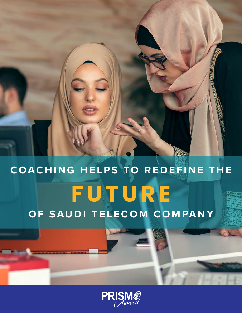# **COACHING HELPS TO REDEFINE THE FUTURE OF SAUDI TELECOM COMPANY**

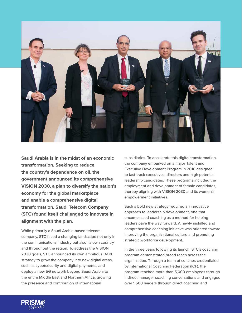

**Saudi Arabia is in the midst of an economic transformation. Seeking to reduce the country's dependence on oil, the government announced its comprehensive VISION 2030, a plan to diversify the nation's economy for the global marketplace and enable a comprehensive digital transformation. Saudi Telecom Company (STC) found itself challenged to innovate in alignment with the plan.** 

While primarily a Saudi Arabia-based telecom company, STC faced a changing landscape not only in the communications industry but also its own country and throughout the region. To address the VISION 2030 goals, STC announced its own ambitious DARE strategy to grow the company into new digital areas, such as cybersecurity and digital payments, and deploy a new 5G network beyond Saudi Arabia to the entire Middle East and Northern Africa, growing the presence and contribution of international

subsidiaries. To accelerate this digital transformation, the company embarked on a major Talent and Executive Development Program in 2016 designed to fast-track executives, directors and high potential leadership candidates. These programs included the employment and development of female candidates, thereby aligning with VISION 2030 and its women's empowerment initiatives.

Such a bold new strategy required an innovative approach to leadership development, one that encompassed coaching as a method for helping leaders pave the way forward. A newly installed and comprehensive coaching initiative was oriented toward improving the organizational culture and promoting strategic workforce development.

In the three years following its launch, STC's coaching program demonstrated broad reach across the organization. Through a team of coaches credentialed by International Coaching Federation (ICF), the program reached more than 5,000 employees through indirect manager coaching conversations and engaged over 1,500 leaders through direct coaching and

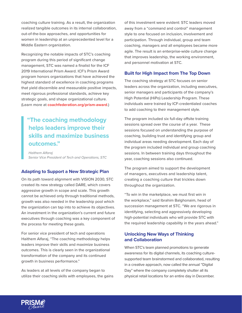coaching culture training. As a result, the organization realized tangible outcomes in its internal collaboration, out-of-the-box approaches, and opportunities for women in leadership at an unprecedented level for a Middle Eastern organization.

Recognizing the notable impacts of STC's coaching program during this period of significant change management, STC was named a finalist for the ICF 2019 International Prism Award. ICF's Prism Award program honors organizations that have achieved the highest standard of excellence in coaching programs that yield discernible and measurable positive impacts, meet rigorous professional standards, achieve key strategic goals, and shape organizational culture. (Learn more at **[coachfederation.org/prism-award](http://coachfederation.org/prism-award)**.)

## **"The coaching methodology helps leaders improve their skills and maximize business outcomes."**

*Haithem Alfaraj Senior Vice President of Tech and Operations, STC*

#### **Adapting to Support a New Strategic Plan**

On its path toward alignment with VISION 2030, STC created its new strategy called DARE, which covers aggressive growth in scope and scale. This growth cannot be achieved only through traditional methods, growth was also needed in the leadership pool which the organization can tap into to achieve its objectives. An investment in the organization's current and future executives through coaching was a key component of the process for meeting these goals.

For senior vice president of tech and operations Haithem Alfaraj, "The coaching methodology helps leaders improve their skills and maximize business outcomes. This is clearly seen in the organizational transformation of the company and its continued growth in business performance."

As leaders at all levels of the company began to utilize their coaching skills with employees, the gains of this investment were evident: STC leaders moved away from a "command and control" management style to one focused on inclusion, involvement and participation. Through individual, group and team coaching, managers and all employees became more agile. The result is an enterprise-wide culture change that improves leadership, the working environment, and personnel motivation at STC.

#### **Built for High Impact from The Top Down**

The coaching strategy at STC focuses on senior leaders across the organization, including executives, senior managers and participants of the company's High Potential (HiPo) Leadership Program. These individuals were trained by ICF-credentialed coaches to add coaching to their management style.

The program included six full-day offsite training sessions spread over the course of a year. These sessions focused on understanding the purpose of coaching, building trust and identifying group and individual areas needing development. Each day of the program included individual and group coaching sessions. In between training days throughout the year, coaching sessions also continued.

The program aimed to support the development of managers, executives and leadership talent, creating a coaching culture that trickles down throughout the organization.

"To win in the marketplace, we must first win in the workplace," said Ibrahim Balghonaim, head of succession management at STC. "We are rigorous in identifying, selecting and aggressively developing high-potential individuals who will provide STC with the required leadership capability in the years ahead."

#### **Unlocking New Ways of Thinking and Collaboration**

When STC's team planned promotions to generate awareness for its digital channels, its coaching culturesupported team brainstormed and collaborated, resulting in a creative approach, now called the annual "Digital Day" where the company completely shutter all its physical retail locations for an entire day in December.